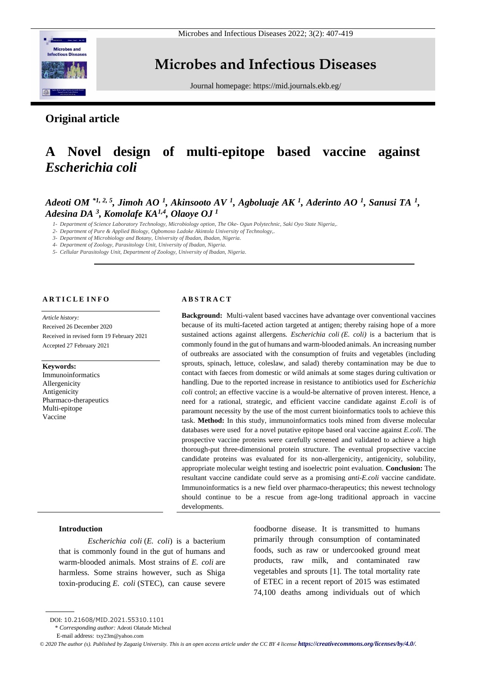

Microbes and Infectious Diseases 2022; 3(2): 407-419

# **Microbes and Infectious Diseases**

Journal homepage:<https://mid.journals.ekb.eg/>

# **Original article**

# **A Novel design of multi-epitope based vaccine against**  *Escherichia coli*

# *Adeoti OM \*1, 2, 5, Jimoh AO <sup>1</sup> , Akinsooto AV <sup>1</sup> , Agboluaje AK <sup>1</sup> , Aderinto AO <sup>1</sup> , Sanusi TA <sup>1</sup> , Adesina DA <sup>3</sup> , Komolafe KA1,4, Olaoye OJ <sup>1</sup>*

*1- Department of Science Laboratory Technology, Microbiology option, The Oke- Ogun Polytechnic, Saki Oyo State Nigeria,.*

*2- Department of Pure & Applied Biology, Ogbomoso Ladoke Akintola University of Technology,.*

*3- Department of Microbiology and Botany, University of Ibadan, Ibadan, Nigeria.*

*4- Department of Zoology, Parasitology Unit, University of Ibadan, Nigeria.*

*5- Cellular Parasitology Unit, Department of Zoology, University of Ibadan, Nigeria.*

# **A R T I C L E I N F O**

*Article history:* 

Received 26 December 2020 Received in revised form 19 February 2021 Accepted 27 February 2021

#### **Keywords:**

Immunoinformatics Allergenicity Antigenicity Pharmaco-therapeutics Multi-epitope Vaccine

## **A B S T R A C T**

**Background:** Multi-valent based vaccines have advantage over conventional vaccines because of its multi-faceted action targeted at antigen; thereby raising hope of a more sustained actions against allergens*. Escherichia coli (E. coli)* is a bacterium that is commonly found in the gut of humans and warm-blooded animals. An increasing number of outbreaks are associated with the consumption of fruits and vegetables (including sprouts, spinach, lettuce, coleslaw, and salad) thereby contamination may be due to contact with faeces from domestic or wild animals at some stages during cultivation or handling. Due to the reported increase in resistance to antibiotics used for *Escherichia coli* control; an effective vaccine is a would-be alternative of proven interest. Hence, a need for a rational, strategic, and efficient vaccine candidate against *E.coli* is of paramount necessity by the use of the most current bioinformatics tools to achieve this task. **Method:** In this study, immunoinformatics tools mined from diverse molecular databases were used for a novel putative epitope based oral vaccine against *E.coli*. The prospective vaccine proteins were carefully screened and validated to achieve a high thorough-put three-dimensional protein structure. The eventual propsective vaccine candidate proteins was evaluated for its non-allergenicity, antigenicity, solubility, appropriate molecular weight testing and isoelectric point evaluation. **Conclusion:** The resultant vaccine candidate could serve as a promising *anti-E.coli* vaccine candidate. Immunoinformatics is a new field over pharmaco-therapeutics; this newest technology should continue to be a rescue from age-long traditional approach in vaccine developments.

## **Introduction**

*Escherichia coli* (*E. coli*) is a bacterium that is commonly found in the gut of humans and warm-blooded animals. Most strains of *E. coli* are harmless. Some strains however, such as Shiga toxin-producing *E. coli* (STEC), can cause severe

foodborne disease. It is transmitted to humans primarily through consumption of contaminated foods, such as raw or undercooked ground meat products, raw milk, and contaminated raw vegetables and sprouts [1]. The total mortality rate of ETEC in a recent report of 2015 was estimated 74,100 deaths among individuals out of which

DOI: 10.21608/MID.2021.55310.1101

<sup>\*</sup> *Corresponding author:* Adeoti Olatude Micheal

E-mail address: txy23m@yahoo.com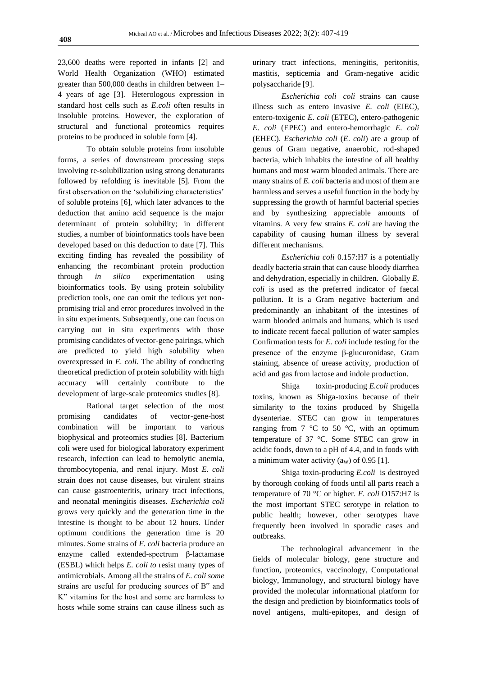23,600 deaths were reported in infants [2] and World Health Organization (WHO) estimated greater than 500,000 deaths in children between 1– 4 years of age [3]. Heterologous expression in standard host cells such as *E.coli* often results in insoluble proteins. However, the exploration of structural and functional proteomics requires proteins to be produced in soluble form [4].

To obtain soluble proteins from insoluble forms, a series of downstream processing steps involving re-solubilization using strong denaturants followed by refolding is inevitable [5]. From the first observation on the 'solubilizing characteristics' of soluble proteins [6], which later advances to the deduction that amino acid sequence is the major determinant of protein solubility; in different studies, a number of bioinformatics tools have been developed based on this deduction to date [7]. This exciting finding has revealed the possibility of enhancing the recombinant protein production through *in silico* experimentation using bioinformatics tools. By using protein solubility prediction tools, one can omit the tedious yet nonpromising trial and error procedures involved in the in situ experiments. Subsequently, one can focus on carrying out in situ experiments with those promising candidates of vector-gene pairings, which are predicted to yield high solubility when overexpressed in *E. coli.* The ability of conducting theoretical prediction of protein solubility with high accuracy will certainly contribute to the development of large-scale proteomics studies [8].

Rational target selection of the most promising candidates of vector-gene-host combination will be important to various biophysical and proteomics studies [8]. Bacterium coli were used for biological laboratory experiment research, infection can lead to hemolytic anemia, thrombocytopenia, and renal injury. Most *E. coli* strain does not cause diseases, but virulent strains can cause gastroenteritis, urinary tract infections, and neonatal meningitis diseases. *Escherichia coli*  grows very quickly and the generation time in the intestine is thought to be about 12 hours. Under optimum conditions the generation time is 20 minutes. Some strains of *E. coli* bacteria produce an enzyme called extended-spectrum β-lactamase (ESBL) which helps *E. coli to* resist many types of antimicrobials. Among all the strains of *E. coli some*  strains are useful for producing sources of B" and K" vitamins for the host and some are harmless to hosts while some strains can cause illness such as

urinary tract infections, meningitis, peritonitis, mastitis, septicemia and Gram-negative acidic polysaccharide [9].

*Escherichia coli coli* strains can cause illness such as entero invasive *E. coli* (EIEC), entero-toxigenic *E. coli* (ETEC), entero-pathogenic *E. coli* (EPEC) and entero-hemorrhagic *E. coli*  (EHEC). *Escherichia coli* (*E*. *coli*) are a group of genus of Gram negative, anaerobic, rod-shaped bacteria, which inhabits the intestine of all healthy humans and most warm blooded animals. There are many strains of *E. coli* bacteria and most of them are harmless and serves a useful function in the body by suppressing the growth of harmful bacterial species and by synthesizing appreciable amounts of vitamins. A very few strains *E. coli* are having the capability of causing human illness by several different mechanisms.

*Escherichia coli* 0.157:H7 is a potentially deadly bacteria strain that can cause bloody diarrhea and dehydration, especially in children. Globally *E. coli* is used as the preferred indicator of faecal pollution. It is a Gram negative bacterium and predominantly an inhabitant of the intestines of warm blooded animals and humans, which is used to indicate recent faecal pollution of water samples Confirmation tests for *E. coli* include testing for the presence of the enzyme β-glucuronidase, Gram staining, absence of urease activity, production of acid and gas from lactose and indole production.

Shiga toxin-producing *E.coli* produces toxins, known as Shiga-toxins because of their similarity to the toxins produced by Shigella dysenteriae. STEC can grow in temperatures ranging from  $7 \degree C$  to  $50 \degree C$ , with an optimum temperature of 37 °C. Some STEC can grow in acidic foods, down to a pH of 4.4, and in foods with a minimum water activity  $(a_W)$  of 0.95 [1].

Shiga toxin-producing *E.coli* is destroyed by thorough cooking of foods until all parts reach a temperature of 70 °C or higher. *E. coli* O157:H7 is the most important STEC serotype in relation to public health; however, other serotypes have frequently been involved in sporadic cases and outbreaks.

The technological advancement in the fields of molecular biology, gene structure and function, proteomics, vaccinology, Computational biology, Immunology, and structural biology have provided the molecular informational platform for the design and prediction by bioinformatics tools of novel antigens, multi-epitopes, and design of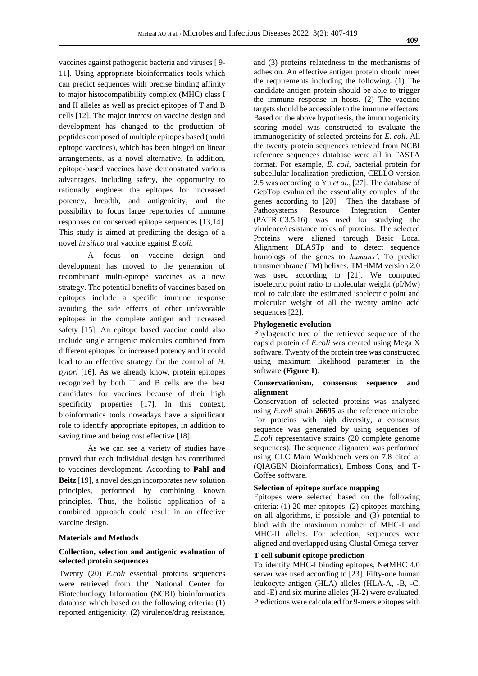vaccines against pathogenic bacteria and viruses [ 9- 11]. Using appropriate bioinformatics tools which can predict sequences with precise binding affinity to major histocompatibility complex (MHC) class I and II alleles as well as predict epitopes of T and B cells [12]. The major interest on vaccine design and development has changed to the production of peptides composed of multiple epitopes based (multi epitope vaccines), which has been hinged on linear arrangements, as a novel alternative. In addition, epitope-based vaccines have demonstrated various advantages, including safety, the opportunity to rationally engineer the epitopes for increased potency, breadth, and antigenicity, and the possibility to focus large repertories of immune responses on conserved epitope sequences [13,14]. This study is aimed at predicting the design of a novel *in silico* oral vaccine against *E.coli*.

A focus on vaccine design and development has moved to the generation of recombinant multi-epitope vaccines as a new strategy. The potential benefits of vaccines based on epitopes include a specific immune response avoiding the side effects of other unfavorable epitopes in the complete antigen and increased safety [15]. An epitope based vaccine could also include single antigenic molecules combined from different epitopes for increased potency and it could lead to an effective strategy for the control of *H. pylori* [16]. As we already know, protein epitopes recognized by both T and B cells are the best candidates for vaccines because of their high specificity properties [17]. In this context, bioinformatics tools nowadays have a significant role to identify appropriate epitopes, in addition to saving time and being cost effective [18].

As we can see a variety of studies have proved that each individual design has contributed to vaccines development. According to **Pahl and Beitz** [19], a novel design incorporates new solution principles, performed by combining known principles. Thus, the holistic application of a combined approach could result in an effective vaccine design.

#### **Materials and Methods**

# **Collection, selection and antigenic evaluation of selected protein sequences**

Twenty (20) *E.coli* essential proteins sequences were retrieved from the National Center for Biotechnology Information (NCBI) bioinformatics database which based on the following criteria: (1) reported antigenicity, (2) virulence/drug resistance,

and (3) proteins relatedness to the mechanisms of adhesion. An effective antigen protein should meet the requirements including the following. (1) The candidate antigen protein should be able to trigger the immune response in hosts. (2) The vaccine targets should be accessible to the immune effectors. Based on the above hypothesis, the immunogenicity scoring model was constructed to evaluate the immunogenicity of selected proteins for *E. coli*. All the twenty protein sequences retrieved from NCBI reference sequences database were all in FASTA format. For example, *E. coli*, bacterial protein for subcellular localization prediction, CELLO version 2.5 was according to Yu *et al.,* [27]. The database of GepTop evaluated the essentiality complex of the genes according to [20]. Then the database of Pathosystems Resource Integration Center (PATRIC3.5.16) was used for studying the virulence/resistance roles of proteins. The selected Proteins were aligned through Basic Local Alignment BLASTp and to detect sequence homologs of the genes to *humans'*. To predict transmembrane (TM) helixes, TMHMM version 2.0 was used according to [21]. We computed isoelectric point ratio to molecular weight (pI/Mw) tool to calculate the estimated isoelectric point and molecular weight of all the twenty amino acid sequences [22].

#### **Phylogenetic evolution**

Phylogenetic tree of the retrieved sequence of the capsid protein of *E.coli* was created using Mega X software. Twenty of the protein tree was constructed using maximum likelihood parameter in the software **(Figure 1)**.

# **Conservationism, consensus sequence and alignment**

Conservation of selected proteins was analyzed using *E.coli* strain **26695** as the reference microbe. For proteins with high diversity, a consensus sequence was generated by using sequences of *E.coli* representative strains (20 complete genome sequences). The sequence alignment was performed using CLC Main Workbench version 7.8 cited at (QIAGEN Bioinformatics), Emboss Cons, and T-Coffee software.

# **Selection of epitope surface mapping**

Epitopes were selected based on the following criteria: (1) 20-mer epitopes, (2) epitopes matching on all algorithms, if possible, and (3) potential to bind with the maximum number of MHC-I and MHC-II alleles. For selection, sequences were aligned and overlapped using Clustal Omega server.

# **T cell subunit epitope prediction**

To identify MHC-I binding epitopes, NetMHC 4.0 server was used according to [23]. Fifty-one human leukocyte antigen (HLA) alleles (HLA-A, -B, -C, and -E) and six murine alleles (H-2) were evaluated. Predictions were calculated for 9-mers epitopes with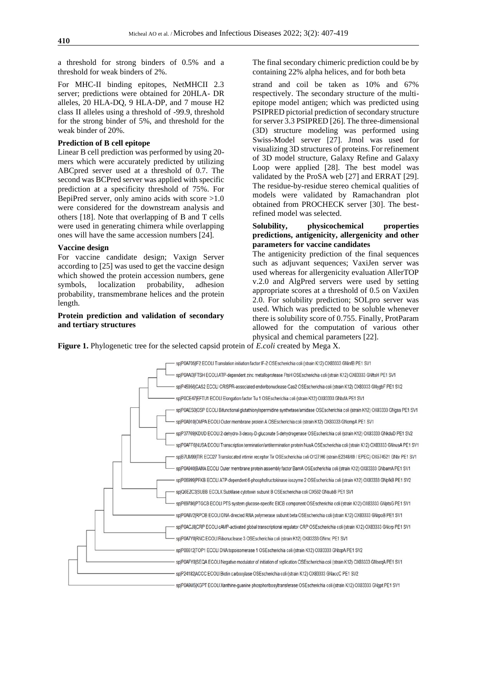a threshold for strong binders of 0.5% and a threshold for weak binders of 2%.

For MHC-II binding epitopes, NetMHCII 2.3 server; predictions were obtained for 20HLA- DR alleles, 20 HLA-DQ, 9 HLA-DP, and 7 mouse H2 class II alleles using a threshold of -99.9, threshold for the strong binder of 5%, and threshold for the weak binder of 20%.

#### **Prediction of B cell epitope**

Linear B cell prediction was performed by using 20 mers which were accurately predicted by utilizing ABCpred server used at a threshold of 0.7. The second was BCPred server was applied with specific prediction at a specificity threshold of 75%. For BepiPred server, only amino acids with score  $>1.0$ were considered for the downstream analysis and others [18]. Note that overlapping of B and T cells were used in generating chimera while overlapping ones will have the same accession numbers [24].

#### **Vaccine design**

For vaccine candidate design; Vaxign Server according to [25] was used to get the vaccine design which showed the protein accession numbers, gene symbols, localization probability, adhesion probability, transmembrane helices and the protein length.

# **Protein prediction and validation of secondary and tertiary structures**

The final secondary chimeric prediction could be by containing 22% alpha helices, and for both beta

strand and coil be taken as 10% and 67% respectively. The secondary structure of the multiepitope model antigen; which was predicted using PSIPRED pictorial prediction of secondary structure for server 3.3 PSIPRED [26]. The three-dimensional (3D) structure modeling was performed using Swiss-Model server [27]. Jmol was used for visualizing 3D structures of proteins. For refinement of 3D model structure, Galaxy Refine and Galaxy Loop were applied [28]. The best model was validated by the ProSA web [27] and ERRAT [29]. The residue-by-residue stereo chemical qualities of models were validated by Ramachandran plot obtained from PROCHECK server [30]. The bestrefined model was selected.

# **Solubility, physicochemical properties predictions, antigenicity, allergenicity and other parameters for vaccine candidates**

The antigenicity prediction of the final sequences such as adjuvant sequences; VaxiJen server was used whereas for allergenicity evaluation AllerTOP v.2.0 and AlgPred servers were used by setting appropriate scores at a threshold of 0.5 on VaxiJen 2.0. For solubility prediction; SOLpro server was used. Which was predicted to be soluble whenever there is solubility score of 0.755. Finally, ProtParam allowed for the computation of various other physical and chemical parameters [22].

**Figure 1.** Phylogenetic tree for the selected capsid protein of *E.coli* created by Mega X.

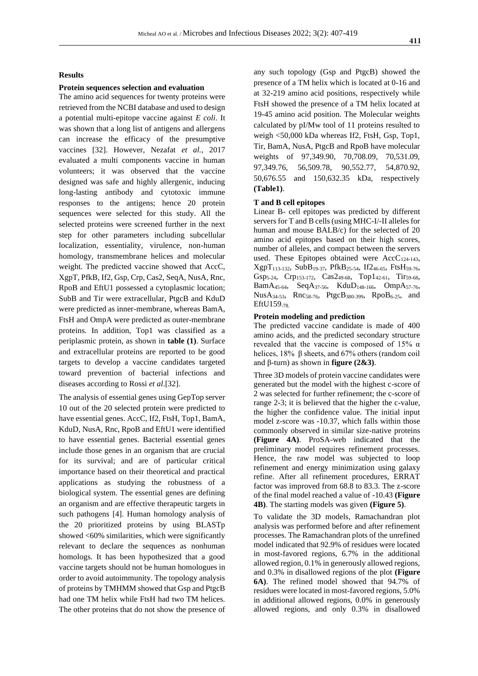# **Results**

## **Protein sequences selection and evaluation**

The amino acid sequences for twenty proteins were retrieved from the NCBI database and used to design a potential multi-epitope vaccine against *E coli*. It was shown that a long list of antigens and allergens can increase the efficacy of the presumptive vaccines [32]. However, Nezafat *et al.*, 2017 evaluated a multi components vaccine in human volunteers; it was observed that the vaccine designed was safe and highly allergenic, inducing long-lasting antibody and cytotoxic immune responses to the antigens; hence 20 protein sequences were selected for this study. All the selected proteins were screened further in the next step for other parameters including subcellular localization, essentiality, virulence, non-human homology, transmembrane helices and molecular weight. The predicted vaccine showed that AccC, XgpT, PfkB, If2, Gsp, Crp, Cas2, SeqA, NusA, Rnc, RpoB and EftU1 possessed a cytoplasmic location; SubB and Tir were extracellular, PtgcB and KduD were predicted as inner-membrane, whereas BamA, FtsH and OmpA were predicted as outer-membrane proteins. In addition, Top1 was classified as a periplasmic protein, as shown in **table (1)**. Surface and extracellular proteins are reported to be good targets to develop a vaccine candidates targeted toward prevention of bacterial infections and diseases according to Rossi *et al*.[32].

The analysis of essential genes using GepTop server 10 out of the 20 selected protein were predicted to have essential genes. AccC, If2, FtsH, Top1, BamA, KduD, NusA, Rnc, RpoB and EftU1 were identified to have essential genes. Bacterial essential genes include those genes in an organism that are crucial for its survival; and are of particular critical importance based on their theoretical and practical applications as studying the robustness of a biological system. The essential genes are defining an organism and are effective therapeutic targets in such pathogens [4]. Human homology analysis of the 20 prioritized proteins by using BLASTp showed <60% similarities, which were significantly relevant to declare the sequences as nonhuman homologs. It has been hypothesized that a good vaccine targets should not be human homologues in order to avoid autoimmunity. The topology analysis of proteins by TMHMM showed that Gsp and PtgcB had one TM helix while FtsH had two TM helices. The other proteins that do not show the presence of any such topology (Gsp and PtgcB) showed the presence of a TM helix which is located at 0-16 and at 32-219 amino acid positions, respectively while FtsH showed the presence of a TM helix located at 19-45 amino acid position. The Molecular weights calculated by pI/Mw tool of 11 proteins resulted to weigh <50,000 kDa whereas If2, FtsH, Gsp, Top1, Tir, BamA, NusA, PtgcB and RpoB have molecular weights of 97,349.90, 70,708.09, 70,531.09, 97,349.76, 56,509.78, 90,552.77, 54,870.92, 50,676.55 and 150,632.35 kDa, respectively **(Table1)**.

#### **T and B cell epitopes**

Linear B- cell epitopes was predicted by different servers for T and B cells (using MHC-I/-II alleles for human and mouse BALB/c) for the selected of 20 amino acid epitopes based on their high scores, number of alleles, and compact between the servers used. These Epitopes obtained were AccC<sub>124-143</sub>, XgpT113-132, SubB19-37, PfkB25-54, If246-65, FtsH59-76, Gsp5-24, Crp153-172, Cas249-68, Top142-61, Tir59-68, Bam $A_{45-64}$ , Seq $A_{37-56}$ , Kdu $D_{148-166}$ , Omp $A_{57-76}$ , NusA34-53, Rnc58-76, PtgcB380-399, RpoB6-25, and EftU159-78.

#### **Protein modeling and prediction**

The predicted vaccine candidate is made of 400 amino acids, and the predicted secondary structure revealed that the vaccine is composed of 15%  $\alpha$ helices, 18% β sheets, and 67% others (random coil and  $\beta$ -turn) as shown in **figure** (2&3).

Three 3D models of protein vaccine candidates were generated but the model with the highest c-score of 2 was selected for further refinement; the c-score of range 2-3; it is believed that the higher the c-value, the higher the confidence value. The initial input model z-score was -10.37, which falls within those commonly observed in similar size-native proteins **(Figure 4A)**. ProSA-web indicated that the preliminary model requires refinement processes. Hence, the raw model was subjected to loop refinement and energy minimization using galaxy refine. After all refinement procedures, ERRAT factor was improved from 68.8 to 83.3. The z-score of the final model reached a value of -10.43 **(Figure 4B)**. The starting models was given **(Figure 5)**.

To validate the 3D models, Ramachandran plot analysis was performed before and after refinement processes. The Ramachandran plots of the unrefined model indicated that 92.9% of residues were located in most-favored regions, 6.7% in the additional allowed region, 0.1% in generously allowed regions, and 0.3% in disallowed regions of the plot **(Figure 6A)**. The refined model showed that 94.7% of residues were located in most-favored regions, 5.0% in additional allowed regions, 0.0% in generously allowed regions, and only 0.3% in disallowed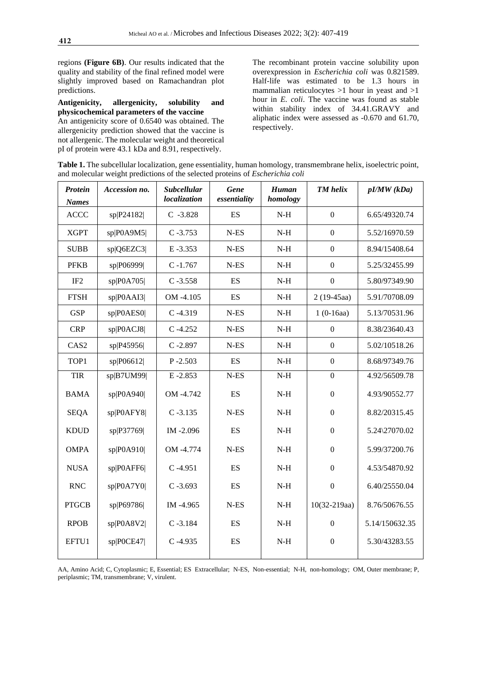regions **(Figure 6B)**. Our results indicated that the quality and stability of the final refined model were slightly improved based on Ramachandran plot predictions.

# **Antigenicity, allergenicity, solubility and physicochemical parameters of the vaccine**

An antigenicity score of 0.6540 was obtained. The allergenicity prediction showed that the vaccine is not allergenic. The molecular weight and theoretical pI of protein were 43.1 kDa and 8.91, respectively.

The recombinant protein vaccine solubility upon overexpression in *Escherichia coli* was 0.821589. Half-life was estimated to be 1.3 hours in mammalian reticulocytes >1 hour in yeast and >1 hour in *E. coli*. The vaccine was found as stable within stability index of 34.41.GRAVY and aliphatic index were assessed as -0.670 and 61.70, respectively.

**Table 1.** The subcellular localization, gene essentiality, human homology, transmembrane helix, isoelectric point, and molecular weight predictions of the selected proteins of *Escherichia coli*

| <b>Protein</b><br><b>Names</b> | Accession no. | <b>Subcellular</b><br>localization | Gene<br>essentiality     | Human<br>homology        | <b>TM</b> helix  | pI/MW(kDa)     |  |
|--------------------------------|---------------|------------------------------------|--------------------------|--------------------------|------------------|----------------|--|
| <b>ACCC</b>                    | sp P24182     | $C - 3.828$                        | ES                       | $N-H$                    | $\boldsymbol{0}$ | 6.65/49320.74  |  |
| <b>XGPT</b>                    | sp P0A9M5     | $C - 3.753$                        | $N-ES$                   | $N-H$                    | $\boldsymbol{0}$ | 5.52/16970.59  |  |
| <b>SUBB</b>                    | sp Q6EZC3     | E-3.353                            | $N-ES$                   | $_{\mathrm{N\text{-}H}}$ | $\boldsymbol{0}$ | 8.94/15408.64  |  |
| <b>PFKB</b>                    | sp P06999     | $C - 1.767$                        | $N-ES$                   | $N-H$                    | $\boldsymbol{0}$ | 5.25/32455.99  |  |
| IF <sub>2</sub>                | sp P0A705     | $C - 3.558$                        | ES                       | $N-H$                    | $\boldsymbol{0}$ | 5.80/97349.90  |  |
| <b>FTSH</b>                    | sp P0AAI3     | OM -4.105                          | ES                       | $N-H$                    | $2(19-45aa)$     | 5.91/70708.09  |  |
| <b>GSP</b>                     | sp P0AES0     | $C - 4.319$                        | $N-ES$                   | $N-H$                    | $1(0-16aa)$      | 5.13/70531.96  |  |
| <b>CRP</b>                     | sp P0ACJ8     | $C - 4.252$                        | $N-ES$                   | $_{\mathrm{N\text{-}H}}$ | $\boldsymbol{0}$ | 8.38/23640.43  |  |
| CAS <sub>2</sub>               | sp P45956     | $C - 2.897$                        | $N-ES$                   | $N-H$                    | $\mathbf{0}$     | 5.02/10518.26  |  |
| TOP1                           | sp P06612     | $P - 2.503$                        | <b>ES</b>                | $N-H$                    | $\mathbf{0}$     | 8.68/97349.76  |  |
| <b>TIR</b>                     | sp B7UM99     | E-2.853                            | $N-ES$                   | $N-H$                    | $\boldsymbol{0}$ | 4.92/56509.78  |  |
| <b>BAMA</b>                    | sp POA940     | OM -4.742                          | ES                       | $N-H$                    | $\boldsymbol{0}$ | 4.93/90552.77  |  |
| <b>SEQA</b>                    | sp P0AFY8     | $C - 3.135$                        | $N-ES$                   | $N-H$                    | $\boldsymbol{0}$ | 8.82/20315.45  |  |
| <b>KDUD</b>                    | sp P37769     | IM-2.096                           | $\mathop{\hbox{\rm ES}}$ | $_{\mathrm{N\text{-}H}}$ | $\boldsymbol{0}$ | 5.24\27070.02  |  |
| <b>OMPA</b>                    | sp POA910     | OM -4.774                          | $N-ES$                   | $_{\mathrm{N\text{-}H}}$ | $\boldsymbol{0}$ | 5.99/37200.76  |  |
| <b>NUSA</b>                    | sp P0AFF6     | $C - 4.951$                        | ES                       | $N-H$                    | $\boldsymbol{0}$ | 4.53/54870.92  |  |
| <b>RNC</b>                     | sp P0A7Y0     | $C - 3.693$                        | ES                       | $N-H$                    | $\boldsymbol{0}$ | 6.40/25550.04  |  |
| <b>PTGCB</b>                   | sp P69786     | IM-4.965                           | $N-ES$                   | $N-H$                    | $10(32-219aa)$   | 8.76/50676.55  |  |
| <b>RPOB</b>                    | sp P0A8V2     | $C - 3.184$                        | ES                       | $_{\mathrm{N\text{-}H}}$ | $\boldsymbol{0}$ | 5.14/150632.35 |  |
| EFTU1                          | sp P0CE47     | $C - 4.935$                        | ES                       | $N-H$                    | $\boldsymbol{0}$ | 5.30/43283.55  |  |
|                                |               |                                    |                          |                          |                  |                |  |

AA, Amino Acid; C, Cytoplasmic; E, Essential; ES Extracellular; N-ES, Non-essential; N-H, non-homology; OM, Outer membrane; P, periplasmic; TM, transmembrane; V, virulent.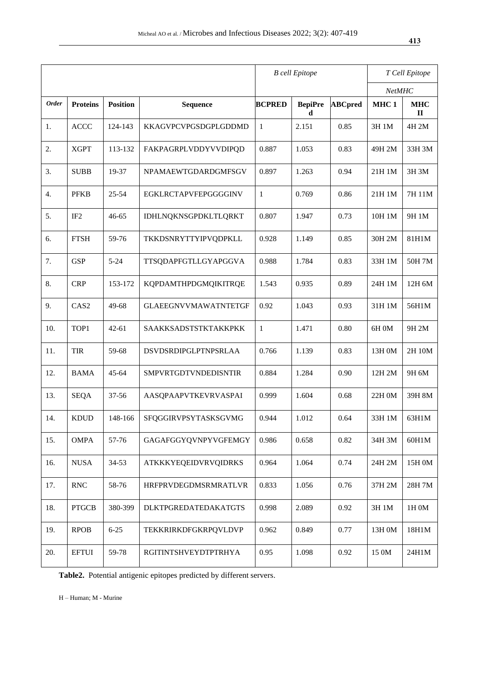|              |                           | <b>B</b> cell Epitope |                             |               | T Cell Epitope      |                |                  |                           |
|--------------|---------------------------|-----------------------|-----------------------------|---------------|---------------------|----------------|------------------|---------------------------|
|              |                           |                       |                             |               |                     |                | NetMHC           |                           |
| <b>Order</b> | <b>Proteins</b>           | <b>Position</b>       | <b>Sequence</b>             | <b>BCPRED</b> | <b>BepiPre</b><br>d | <b>ABCpred</b> | MHC <sub>1</sub> | <b>MHC</b><br>$\mathbf H$ |
| 1.           | <b>ACCC</b>               | 124-143               | KKAGVPCVPGSDGPLGDDMD        | $\mathbf{1}$  | 2.151               | 0.85           | 3H 1M            | 4H 2M                     |
| 2.           | <b>XGPT</b>               | 113-132               | FAKPAGRPLVDDYVVDIPQD        | 0.887         | 1.053               | 0.83           | 49H 2M           | 33H 3M                    |
| 3.           | <b>SUBB</b>               | 19-37                 | NPAMAEWTGDARDGMFSGV         | 0.897         | 1.263               | 0.94           | 21H 1M           | 3H 3M                     |
| 4.           | <b>PFKB</b>               | $25 - 54$             | EGKLRCTAPVFEPGGGGINV        | $\mathbf{1}$  | 0.769               | 0.86           | 21H 1M           | 7H 11M                    |
| 5.           | IF <sub>2</sub>           | $46 - 65$             | IDHLNQKNSGPDKLTLQRKT        | 0.807         | 1.947               | 0.73           | 10H 1M           | 9H 1M                     |
| 6.           | <b>FTSH</b>               | 59-76                 | TKKDSNRYTTYIPVQDPKLL        | 0.928         | 1.149               | 0.85           | 30H 2M           | 81H1M                     |
| 7.           | <b>GSP</b>                | $5 - 24$              | TTSQDAPFGTLLGYAPGGVA        | 0.988         | 1.784               | 0.83           | 33H 1M           | 50H 7M                    |
| 8.           | <b>CRP</b>                | 153-172               | KQPDAMTHPDGMQIKITRQE        | 1.543         | 0.935               | 0.89           | 24H 1M           | 12H 6M                    |
| 9.           | CAS <sub>2</sub>          | 49-68                 | <b>GLAEEGNVVMAWATNTETGF</b> | 0.92          | 1.043               | 0.93           | 31H 1M           | 56H1M                     |
| 10.          | TOP1                      | $42 - 61$             | SAAKKSADSTSTKTAKKPKK        | $\mathbf{1}$  | 1.471               | 0.80           | 6H 0M            | 9H 2M                     |
| 11.          | TIR                       | 59-68                 | DSVDSRDIPGLPTNPSRLAA        | 0.766         | 1.139               | 0.83           | 13H 0M           | 2H 10M                    |
| 12.          | <b>BAMA</b>               | $45 - 64$             | SMPVRTGDTVNDEDISNTIR        | 0.884         | 1.284               | 0.90           | 12H 2M           | 9H 6M                     |
| 13.          | <b>SEQA</b>               | 37-56                 | AASQPAAPVTKEVRVASPAI        | 0.999         | 1.604               | 0.68           | 22H 0M           | 39H 8M                    |
| 14.          | <b>KDUD</b>               | 148-166               | SFQGGIRVPSYTASKSGVMG        | 0.944         | 1.012               | 0.64           | 33H 1M           | 63H1M                     |
| 15.          | <b>OMPA</b>               | 57-76                 | GAGAFGGYQVNPYVGFEMGY        | 0.986         | 0.658               | 0.82           | 34H 3M           | 60H1M                     |
| 16.          | <b>NUSA</b>               | 34-53                 | <b>ATKKKYEQEIDVRVQIDRKS</b> | 0.964         | 1.064               | 0.74           | 24H 2M           | 15H 0M                    |
| 17.          | $\ensuremath{\text{RNC}}$ | 58-76                 | HRFPRVDEGDMSRMRATLVR        | 0.833         | 1.056               | 0.76           | 37H 2M           | 28H 7M                    |
| 18.          | <b>PTGCB</b>              | 380-399               | <b>DLKTPGREDATEDAKATGTS</b> | 0.998         | 2.089               | 0.92           | 3H 1M            | 1H 0M                     |
| 19.          | <b>RPOB</b>               | $6 - 25$              | TEKKRIRKDFGKRPQVLDVP        | 0.962         | 0.849               | 0.77           | 13H 0M           | 18H1M                     |
| 20.          | <b>EFTUI</b>              | 59-78                 | RGITINTSHVEYDTPTRHYA        | 0.95          | 1.098               | $0.92\,$       | 15 0M            | 24H1M                     |

**Table2.** Potential antigenic epitopes predicted by different servers.

H – Human; M - Murine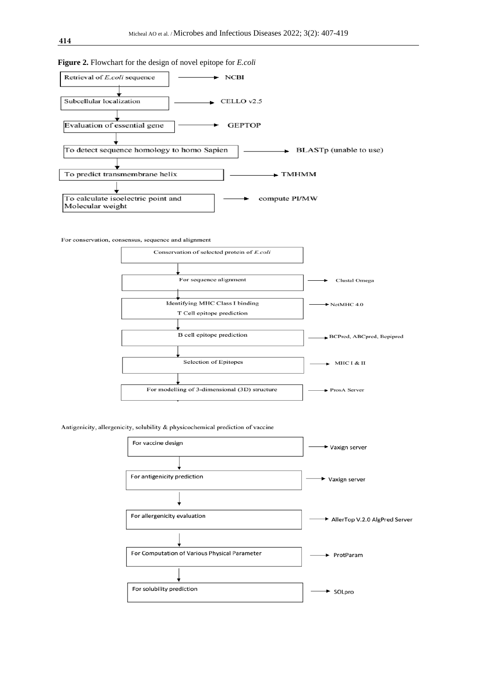

Antigenicity, allergenicity, solubility & physicochemical prediction of vaccine

| For vaccine design                            | <b>→</b> Vaxign server          |  |  |  |
|-----------------------------------------------|---------------------------------|--|--|--|
|                                               |                                 |  |  |  |
| For antigenicity prediction                   | Vaxign server                   |  |  |  |
|                                               |                                 |  |  |  |
| For allergenicity evaluation                  | → AllerTop V.2.0 AlgPred Server |  |  |  |
|                                               |                                 |  |  |  |
| For Computation of Various Physical Parameter | ProtParam                       |  |  |  |
|                                               |                                 |  |  |  |
| For solubility prediction                     | <b>► SOLpro</b>                 |  |  |  |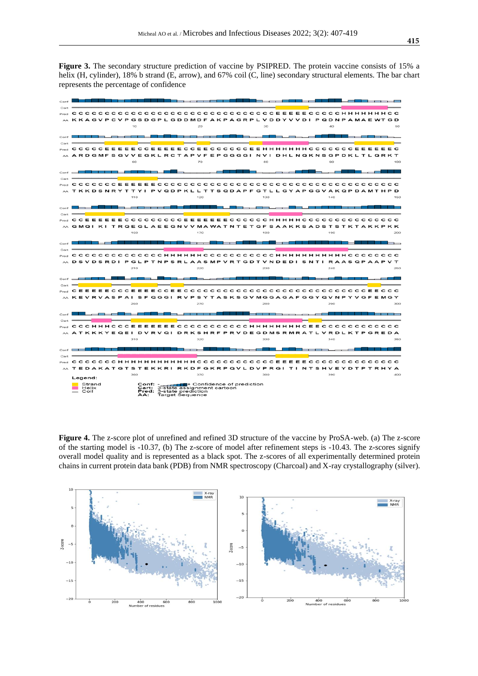**Figure 3.** The secondary structure prediction of vaccine by PSIPRED. The protein vaccine consists of 15% a helix (H, cylinder), 18% b strand (E, arrow), and 67% coil (C, line) secondary structural elements. The bar chart represents the percentage of confidence



**Figure 4.** The z-score plot of unrefined and refined 3D structure of the vaccine by ProSA-web. (a) The z-score of the starting model is -10.37, (b) The z-score of model after refinement steps is -10.43. The z-scores signify overall model quality and is represented as a black spot. The z-scores of all experimentally determined protein chains in current protein data bank (PDB) from NMR spectroscopy (Charcoal) and X-ray crystallography (silver).

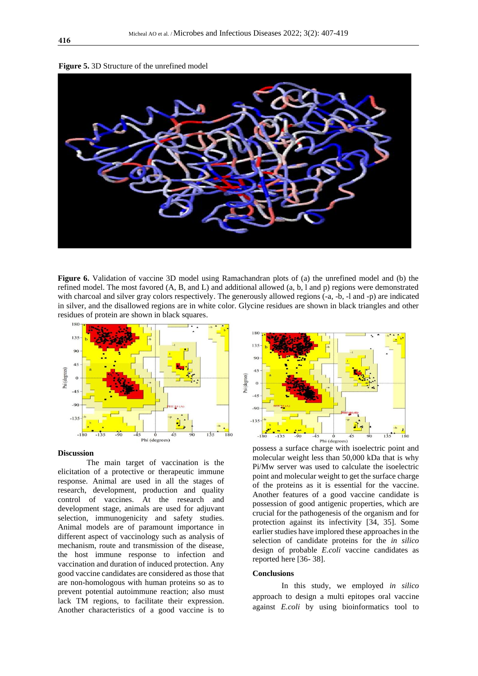



**Figure 6.** Validation of vaccine 3D model using Ramachandran plots of (a) the unrefined model and (b) the refined model. The most favored (A, B, and L) and additional allowed (a, b, l and p) regions were demonstrated with charcoal and silver gray colors respectively. The generously allowed regions (-a, -b, -l and -p) are indicated in silver, and the disallowed regions are in white color. Glycine residues are shown in black triangles and other residues of protein are shown in black squares.



#### **Discussion**

The main target of vaccination is the elicitation of a protective or therapeutic immune response. Animal are used in all the stages of research, development, production and quality control of vaccines. At the research and development stage, animals are used for adjuvant selection, immunogenicity and safety studies. Animal models are of paramount importance in different aspect of vaccinology such as analysis of mechanism, route and transmission of the disease, the host immune response to infection and vaccination and duration of induced protection. Any good vaccine candidates are considered as those that are non-homologous with human proteins so as to prevent potential autoimmune reaction; also must lack TM regions, to facilitate their expression. Another characteristics of a good vaccine is to



possess a surface charge with isoelectric point and molecular weight less than 50,000 kDa that is why Pi/Mw server was used to calculate the isoelectric point and molecular weight to get the surface charge of the proteins as it is essential for the vaccine. Another features of a good vaccine candidate is possession of good antigenic properties, which are crucial for the pathogenesis of the organism and for protection against its infectivity [34, 35]. Some earlier studies have implored these approaches in the selection of candidate proteins for the *in silico* design of probable *E.coli* vaccine candidates as reported here [36- 38].

#### **Conclusions**

In this study, we employed *in silico* approach to design a multi epitopes oral vaccine against *E.coli* by using bioinformatics tool to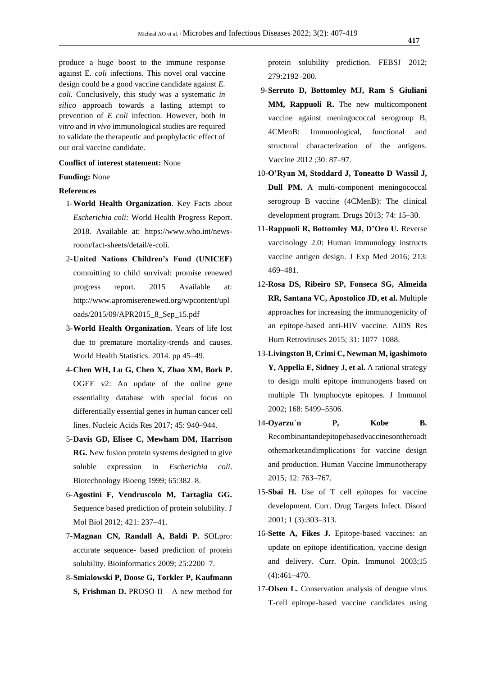produce a huge boost to the immune response against E*. coli* infections. This novel oral vaccine design could be a good vaccine candidate against *E. coli.* Conclusively, this study was a systematic *in silico* approach towards a lasting attempt to prevention of *E coli* infection*.* However, both *in vitro* and *in vivo* immunological studies are required to validate the therapeutic and prophylactic effect of our oral vaccine candidate.

# **Conflict of interest statement:** None

#### **Funding:** None

## **References**

- 1-**World Health Organization**. Key Facts about *Escherichia coli:* World Health Progress Report. 2018. Available at: https://www.who.int/newsroom/fact-sheets/detail/e-coli.
- 2-**United Nations Children's Fund (UNICEF)** committing to child survival: promise renewed progress report. 2015 Available at: http://www.apromiserenewed.org/wpcontent/upl oads/2015/09/APR2015\_8\_Sep\_15.pdf
- 3-**World Health Organization.** Years of life lost due to premature mortality-trends and causes. World Health Statistics. 2014. pp 45–49.
- 4-**Chen WH, Lu G, Chen X, Zhao XM, Bork P.** OGEE v2: An update of the online gene essentiality database with special focus on differentially essential genes in human cancer cell lines. Nucleic Acids Res 2017; 45: 940–944.
- 5-**Davis GD, Elisee C, Mewham DM, Harrison RG.** New fusion protein systems designed to give soluble expression in *Escherichia coli*. Biotechnology Bioeng 1999; 65:382–8.
- 6-**Agostini F, Vendruscolo M, Tartaglia GG.** Sequence based prediction of protein solubility. J Mol Biol 2012; 421: 237–41.
- 7-**Magnan CN, Randall A, Baldi P.** SOLpro: accurate sequence- based prediction of protein solubility. Bioinformatics 2009; 25:2200–7.
- 8-**Smialowski P, Doose G, Torkler P, Kaufmann S, Frishman D.** PROSO II – A new method for

protein solubility prediction. FEBSJ 2012; 279:2192–200.

- 9-**Serruto D, Bottomley MJ, Ram S Giuliani MM, Rappuoli R.** The new multicomponent vaccine against meningococcal serogroup B, 4CMenB: Immunological, functional and structural characterization of the antigens. Vaccine 2012 ;30: 87–97.
- 10-**O'Ryan M, Stoddard J, Toneatto D Wassil J, Dull PM.** A multi-component meningococcal serogroup B vaccine (4CMenB): The clinical development program. Drugs 2013*;* 74: 15–30.
- 11-**Rappuoli R, Bottomley MJ, D'Oro U.** Reverse vaccinology 2.0: Human immunology instructs vaccine antigen design. J Exp Med 2016; 213: 469–481.
- 12-**Rosa DS, Ribeiro SP, Fonseca SG, Almeida RR, Santana VC, Apostolico JD, et al.** Multiple approaches for increasing the immunogenicity of an epitope-based anti-HIV vaccine. AIDS Res Hum Retroviruses 2015; 31: 1077–1088.
- 13-**Livingston B, Crimi C, Newman M, igashimoto Y, Appella E, Sidney J, et al.** A rational strategy to design multi epitope immunogens based on multiple Th lymphocyte epitopes. J Immunol 2002; 168: 5499–5506.
- 14-**Oyarzu´n P, Kobe B.** Recombinantandepitopebasedvaccinesontheroadt othemarketandimplications for vaccine design and production. Human Vaccine Immunotherapy 2015*;* 12: 763–767.
- 15-**Sbai H.** Use of T cell epitopes for vaccine development. Curr. Drug Targets Infect. Disord 2001; 1 (3):303–313.
- 16-**Sette A, Fikes J.** Epitope-based vaccines: an update on epitope identification, vaccine design and delivery. Curr. Opin. Immunol 2003;15 (4):461–470.
- 17-**Olsen L.** Conservation analysis of dengue virus T-cell epitope-based vaccine candidates using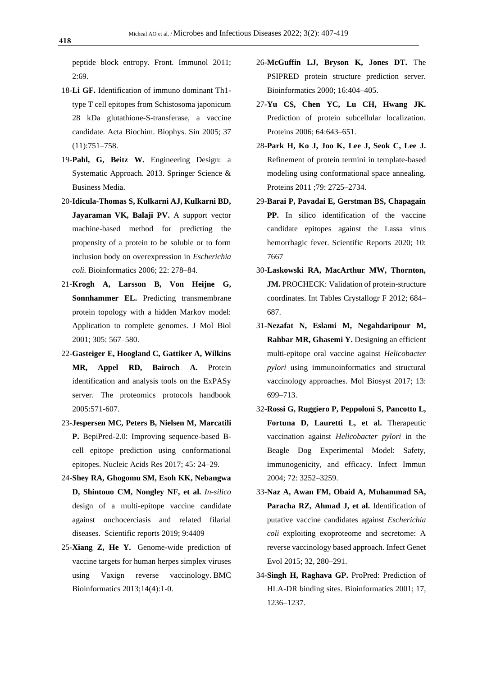peptide block entropy. Front. Immunol 2011; 2:69.

- 18-**Li GF.** Identification of immuno dominant Th1 type T cell epitopes from Schistosoma japonicum 28 kDa glutathione-S-transferase, a vaccine candidate. Acta Biochim. Biophys. Sin 2005; 37 (11):751–758.
- 19-**Pahl, G, Beitz W.** Engineering Design: a Systematic Approach. 2013. Springer Science & Business Media.
- 20-**Idicula-Thomas S, Kulkarni AJ, Kulkarni BD, Jayaraman VK, Balaji PV.** A support vector machine-based method for predicting the propensity of a protein to be soluble or to form inclusion body on overexpression in *Escherichia coli.* Bioinformatics 2006; 22: 278–84.
- 21-**Krogh A, Larsson B, Von Heijne G, Sonnhammer EL.** Predicting transmembrane protein topology with a hidden Markov model: Application to complete genomes. J Mol Biol 2001; 305: 567–580.
- 22-**Gasteiger E, Hoogland C, Gattiker A, Wilkins MR, Appel RD, Bairoch A.** Protein identification and analysis tools on the ExPASy server. The proteomics protocols handbook 2005:571-607.
- 23-**Jespersen MC, Peters B, Nielsen M, Marcatili P.** BepiPred-2.0: Improving sequence-based Bcell epitope prediction using conformational epitopes. Nucleic Acids Res 2017; 45: 24–29.
- 24-**Shey RA, Ghogomu SM, Esoh KK, Nebangwa D, Shintouo CM, Nongley NF, et al.** *In-silico* design of a multi-epitope vaccine candidate against onchocerciasis and related filarial diseases. Scientific reports 2019; 9:4409
- 25-**Xiang Z, He Y.** Genome-wide prediction of vaccine targets for human herpes simplex viruses using Vaxign reverse vaccinology. BMC Bioinformatics 2013;14(4):1-0.
- 26-**McGuffin LJ, Bryson K, Jones DT.** The PSIPRED protein structure prediction server. Bioinformatics 2000; 16:404–405.
- 27-**Yu CS, Chen YC, Lu CH, Hwang JK.** Prediction of protein subcellular localization. Proteins 2006; 64:643–651.
- 28-**Park H, Ko J, Joo K, Lee J, Seok C, Lee J.** Refinement of protein termini in template-based modeling using conformational space annealing. Proteins 2011 ;79: 2725–2734.
- 29-**Barai P, Pavadai E, Gerstman BS, Chapagain PP.** In silico identification of the vaccine candidate epitopes against the Lassa virus hemorrhagic fever. Scientific Reports 2020; 10: 7667
- 30-**Laskowski RA, MacArthur MW, Thornton, JM.** PROCHECK: Validation of protein-structure coordinates. Int Tables Crystallogr F 2012; 684– 687.
- 31-**Nezafat N, Eslami M, Negahdaripour M, Rahbar MR, Ghasemi Y.** Designing an efficient multi-epitope oral vaccine against *Helicobacter pylori* using immunoinformatics and structural vaccinology approaches. Mol Biosyst 2017; 13: 699–713.
- 32-**Rossi G, Ruggiero P, Peppoloni S, Pancotto L, Fortuna D, Lauretti L, et al.** Therapeutic vaccination against *Helicobacter pylori* in the Beagle Dog Experimental Model: Safety, immunogenicity, and efficacy. Infect Immun 2004; 72: 3252–3259.
- 33-**Naz A, Awan FM, Obaid A, Muhammad SA, Paracha RZ, Ahmad J, et al.** Identification of putative vaccine candidates against *Escherichia coli* exploiting exoproteome and secretome: A reverse vaccinology based approach. Infect Genet Evol 2015; 32, 280–291.
- 34-**Singh H, Raghava GP.** ProPred: Prediction of HLA-DR binding sites. Bioinformatics 2001; 17, 1236–1237.